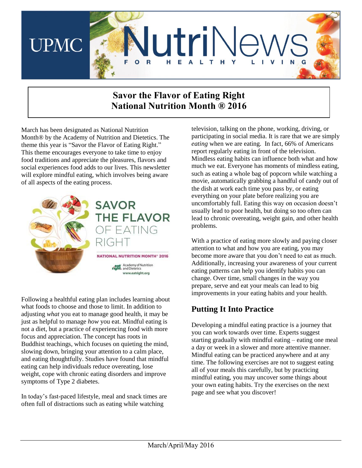

# **Savor the Flavor of Eating Right National Nutrition Month ® 2016**

March has been designated as National Nutrition Month® by the Academy of Nutrition and Dietetics. The theme this year is "Savor the Flavor of Eating Right." This theme encourages everyone to take time to enjoy food traditions and appreciate the pleasures, flavors and social experiences food adds to our lives. This newsletter will explore mindful eating, which involves being aware of all aspects of the eating process.



Following a healthful eating plan includes learning about what foods to choose and those to limit. In addition to adjusting *what* you eat to manage good health, it may be just as helpful to manage *how* you eat. Mindful eating is not a diet, but a practice of experiencing food with more focus and appreciation. The concept has roots in Buddhist teachings, which focuses on quieting the mind, slowing down, bringing your attention to a calm place, and eating thoughtfully. Studies have found that mindful eating can help individuals reduce overeating, lose weight, cope with chronic eating disorders and improve symptoms of Type 2 diabetes.

In today's fast-paced lifestyle, meal and snack times are often full of distractions such as eating while watching

television, talking on the phone, working, driving, or participating in social media. It is rare that we are simply *eating* when we are eating. In fact, 66% of Americans report regularly eating in front of the television. Mindless eating habits can influence both what and how much we eat. Everyone has moments of mindless eating, such as eating a whole bag of popcorn while watching a movie, automatically grabbing a handful of candy out of the dish at work each time you pass by, or eating everything on your plate before realizing you are uncomfortably full. Eating this way on occasion doesn't usually lead to poor health, but doing so too often can lead to chronic overeating, weight gain, and other health problems.

With a practice of eating more slowly and paying closer attention to what and how you are eating, you may become more aware that you don't need to eat as much. Additionally, increasing your awareness of your current eating patterns can help you identify habits you can change. Over time, small changes in the way you prepare, serve and eat your meals can lead to big improvements in your eating habits and your health.

#### **Putting It Into Practice**

Developing a mindful eating practice is a journey that you can work towards over time. Experts suggest starting gradually with mindful eating – eating one meal a day or week in a slower and more attentive manner. Mindful eating can be practiced anywhere and at any time. The following exercises are not to suggest eating all of your meals this carefully, but by practicing mindful eating, you may uncover some things about your own eating habits. Try the exercises on the next page and see what you discover!